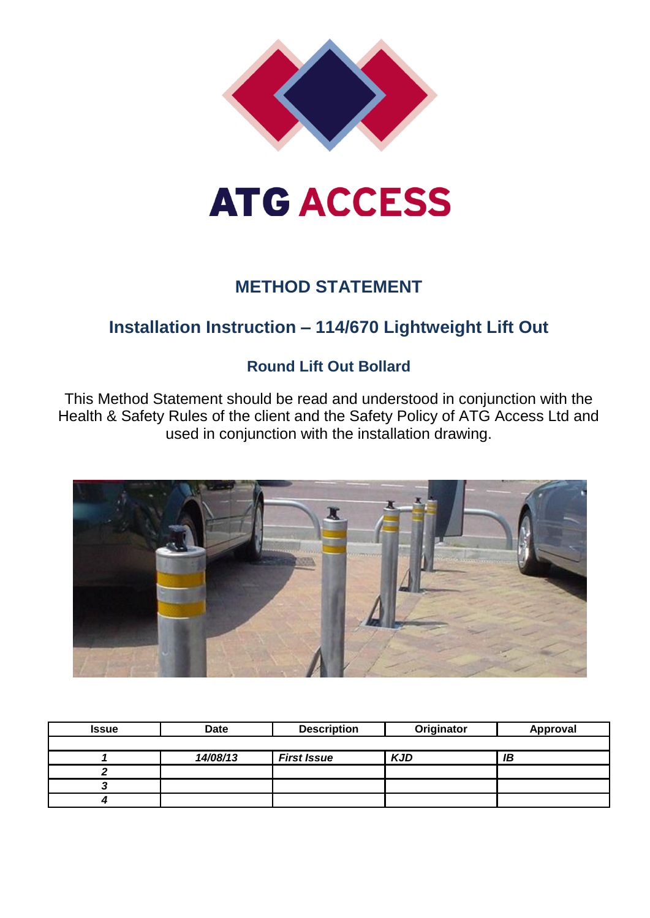

# **ATG ACCESS**

## **METHOD STATEMENT**

## **Installation Instruction – 114/670 Lightweight Lift Out**

### **Round Lift Out Bollard**

This Method Statement should be read and understood in conjunction with the Health & Safety Rules of the client and the Safety Policy of ATG Access Ltd and used in conjunction with the installation drawing.



| <b>Issue</b> | <b>Date</b> | <b>Description</b> | Originator |    |
|--------------|-------------|--------------------|------------|----|
|              |             |                    |            |    |
|              | 14/08/13    | <b>First Issue</b> | <b>KJD</b> | ΙB |
|              |             |                    |            |    |
|              |             |                    |            |    |
|              |             |                    |            |    |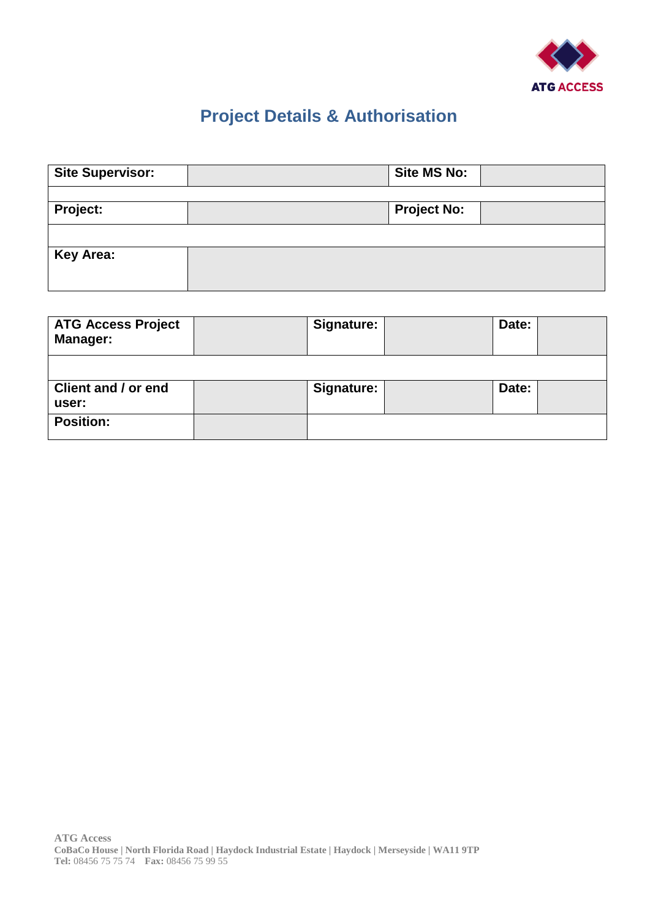

## **Project Details & Authorisation**

| <b>Site Supervisor:</b> | <b>Site MS No:</b> |  |
|-------------------------|--------------------|--|
|                         |                    |  |
| <b>Project:</b>         | <b>Project No:</b> |  |
|                         |                    |  |
| <b>Key Area:</b>        |                    |  |

| <b>ATG Access Project</b><br><b>Manager:</b> | <b>Signature:</b> | Date: |  |
|----------------------------------------------|-------------------|-------|--|
|                                              |                   |       |  |
| Client and / or end<br>user:                 | Signature:        | Date: |  |
| <b>Position:</b>                             |                   |       |  |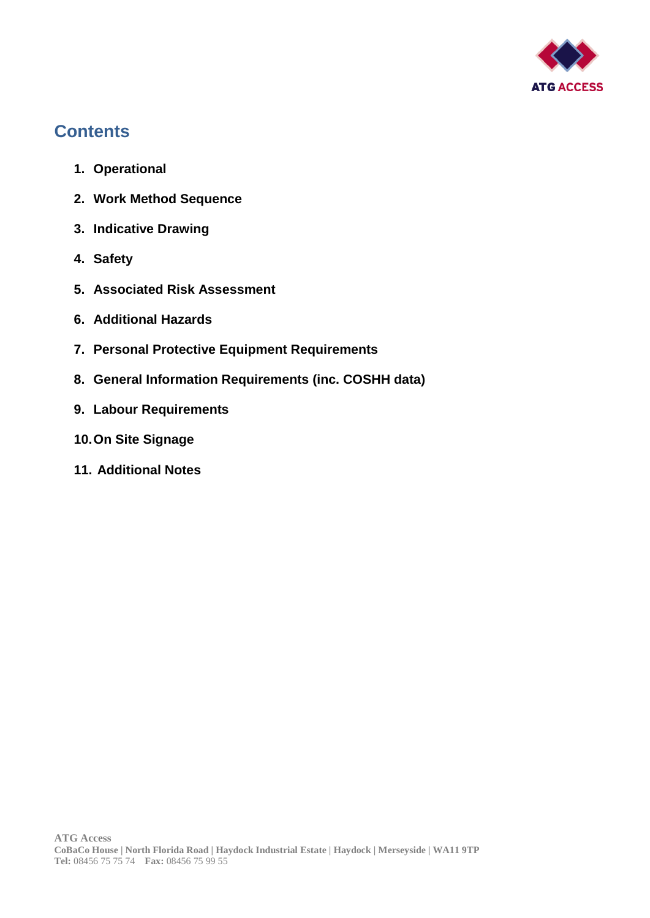

## **Contents**

- **1. Operational**
- **2. Work Method Sequence**
- **3. Indicative Drawing**
- **4. Safety**
- **5. Associated Risk Assessment**
- **6. Additional Hazards**
- **7. Personal Protective Equipment Requirements**
- **8. General Information Requirements (inc. COSHH data)**
- **9. Labour Requirements**
- **10.On Site Signage**
- **11. Additional Notes**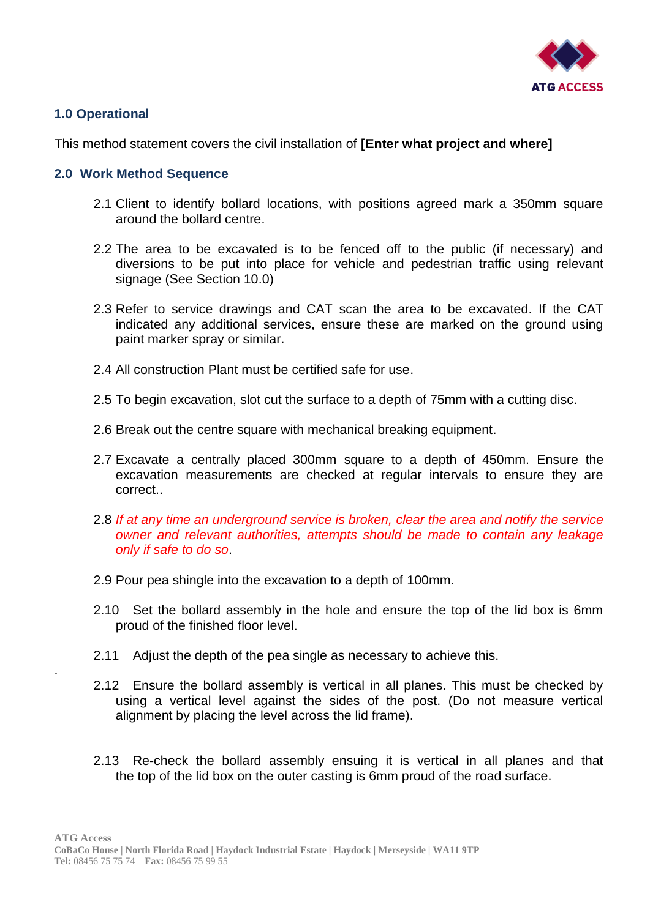

#### **1.0 Operational**

.

#### This method statement covers the civil installation of **[Enter what project and where]**

#### **2.0 Work Method Sequence**

- 2.1 Client to identify bollard locations, with positions agreed mark a 350mm square around the bollard centre.
- 2.2 The area to be excavated is to be fenced off to the public (if necessary) and diversions to be put into place for vehicle and pedestrian traffic using relevant signage (See Section 10.0)
- 2.3 Refer to service drawings and CAT scan the area to be excavated. If the CAT indicated any additional services, ensure these are marked on the ground using paint marker spray or similar.
- 2.4 All construction Plant must be certified safe for use.
- 2.5 To begin excavation, slot cut the surface to a depth of 75mm with a cutting disc.
- 2.6 Break out the centre square with mechanical breaking equipment.
- 2.7 Excavate a centrally placed 300mm square to a depth of 450mm. Ensure the excavation measurements are checked at regular intervals to ensure they are correct..
- 2.8 *If at any time an underground service is broken, clear the area and notify the service owner and relevant authorities, attempts should be made to contain any leakage only if safe to do so*.
- 2.9 Pour pea shingle into the excavation to a depth of 100mm.
- 2.10 Set the bollard assembly in the hole and ensure the top of the lid box is 6mm proud of the finished floor level.
- 2.11 Adjust the depth of the pea single as necessary to achieve this.
- 2.12 Ensure the bollard assembly is vertical in all planes. This must be checked by using a vertical level against the sides of the post. (Do not measure vertical alignment by placing the level across the lid frame).
- 2.13 Re-check the bollard assembly ensuing it is vertical in all planes and that the top of the lid box on the outer casting is 6mm proud of the road surface.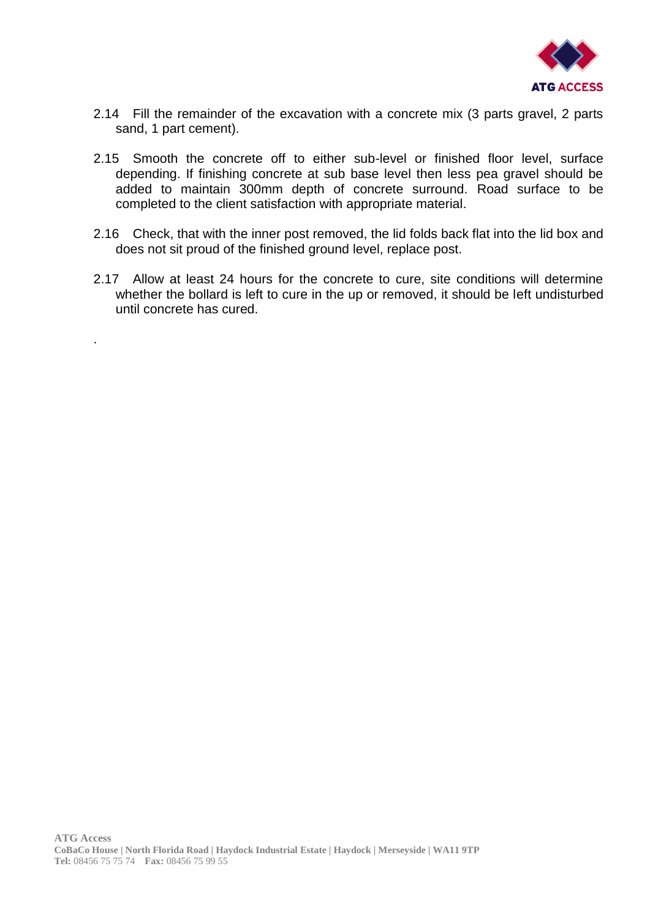

- 2.14 Fill the remainder of the excavation with a concrete mix (3 parts gravel, 2 parts sand, 1 part cement).
- 2.15 Smooth the concrete off to either sub-level or finished floor level, surface depending. If finishing concrete at sub base level then less pea gravel should be added to maintain 300mm depth of concrete surround. Road surface to be completed to the client satisfaction with appropriate material.
- 2.16 Check, that with the inner post removed, the lid folds back flat into the lid box and does not sit proud of the finished ground level, replace post.
- 2.17 Allow at least 24 hours for the concrete to cure, site conditions will determine whether the bollard is left to cure in the up or removed, it should be left undisturbed until concrete has cured.

.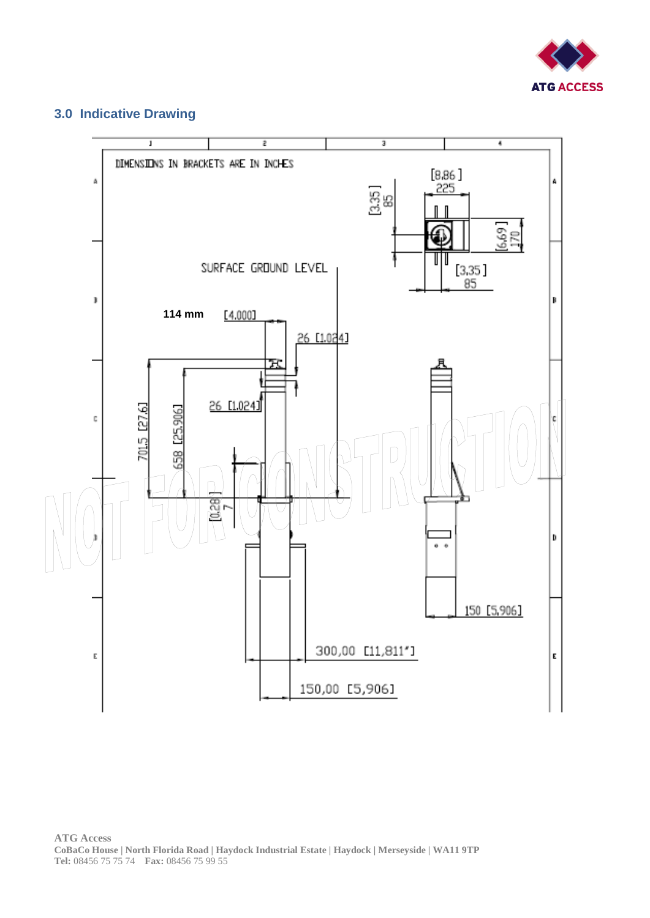

#### **3.0 Indicative Drawing**

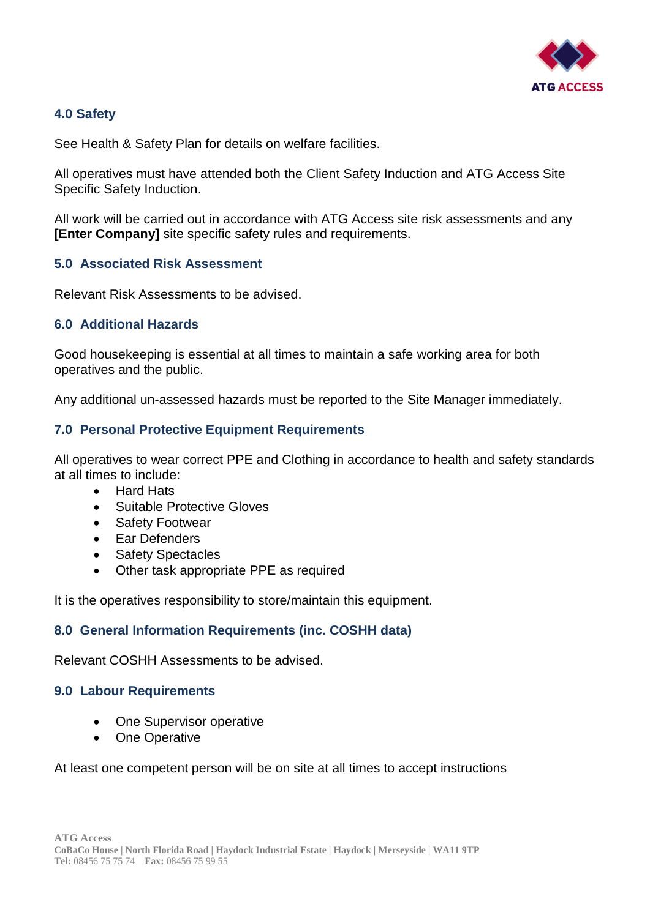

#### **4.0 Safety**

See Health & Safety Plan for details on welfare facilities.

All operatives must have attended both the Client Safety Induction and ATG Access Site Specific Safety Induction.

All work will be carried out in accordance with ATG Access site risk assessments and any **[Enter Company]** site specific safety rules and requirements.

#### **5.0 Associated Risk Assessment**

Relevant Risk Assessments to be advised.

#### **6.0 Additional Hazards**

Good housekeeping is essential at all times to maintain a safe working area for both operatives and the public.

Any additional un-assessed hazards must be reported to the Site Manager immediately.

#### **7.0 Personal Protective Equipment Requirements**

All operatives to wear correct PPE and Clothing in accordance to health and safety standards at all times to include:

- Hard Hats
- Suitable Protective Gloves
- Safety Footwear
- Ear Defenders
- Safety Spectacles
- Other task appropriate PPE as required

It is the operatives responsibility to store/maintain this equipment.

#### **8.0 General Information Requirements (inc. COSHH data)**

Relevant COSHH Assessments to be advised.

#### **9.0 Labour Requirements**

- One Supervisor operative
- One Operative

At least one competent person will be on site at all times to accept instructions